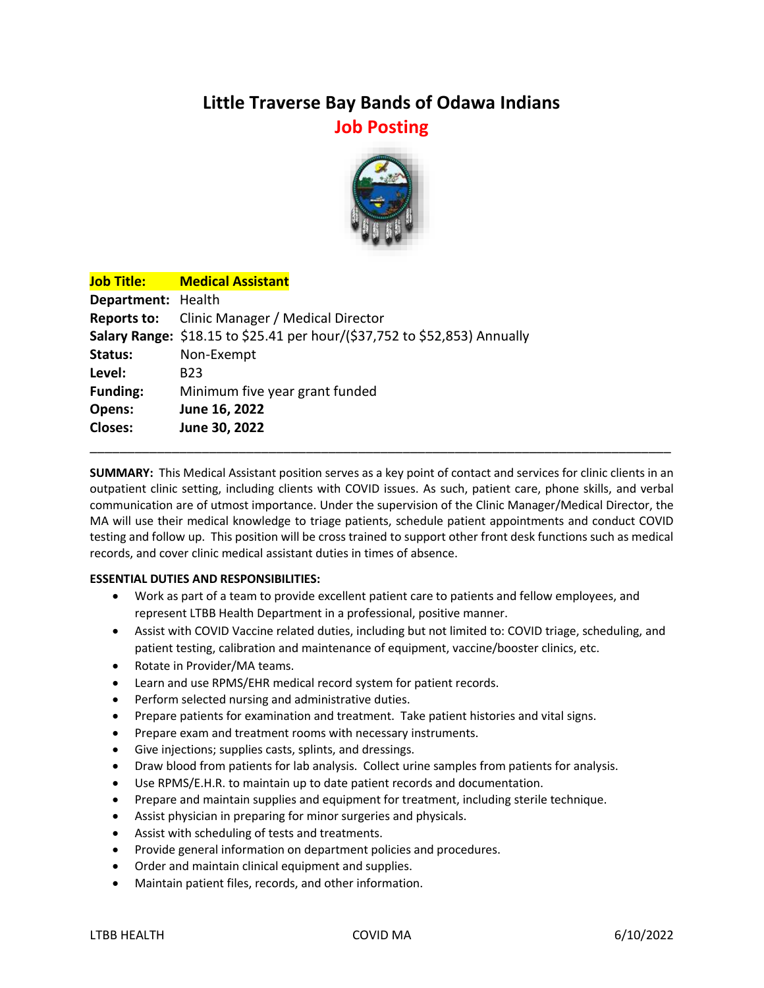## **Little Traverse Bay Bands of Odawa Indians Job Posting**



|                    | <b>Job Title: Medical Assistant</b>                                       |
|--------------------|---------------------------------------------------------------------------|
| Department: Health |                                                                           |
|                    | <b>Reports to:</b> Clinic Manager / Medical Director                      |
|                    | Salary Range: \$18.15 to \$25.41 per hour/(\$37,752 to \$52,853) Annually |
| Status:            | Non-Exempt                                                                |
| Level:             | B <sub>23</sub>                                                           |
| <b>Funding:</b>    | Minimum five year grant funded                                            |
| Opens:             | June 16, 2022                                                             |
| <b>Closes:</b>     | June 30, 2022                                                             |

**SUMMARY:** This Medical Assistant position serves as a key point of contact and services for clinic clients in an outpatient clinic setting, including clients with COVID issues. As such, patient care, phone skills, and verbal communication are of utmost importance. Under the supervision of the Clinic Manager/Medical Director, the MA will use their medical knowledge to triage patients, schedule patient appointments and conduct COVID testing and follow up. This position will be cross trained to support other front desk functions such as medical records, and cover clinic medical assistant duties in times of absence.

\_\_\_\_\_\_\_\_\_\_\_\_\_\_\_\_\_\_\_\_\_\_\_\_\_\_\_\_\_\_\_\_\_\_\_\_\_\_\_\_\_\_\_\_\_\_\_\_\_\_\_\_\_\_\_\_\_\_\_\_\_\_\_\_\_\_\_\_\_\_\_\_\_\_\_\_\_\_

## **ESSENTIAL DUTIES AND RESPONSIBILITIES:**

- Work as part of a team to provide excellent patient care to patients and fellow employees, and represent LTBB Health Department in a professional, positive manner.
- Assist with COVID Vaccine related duties, including but not limited to: COVID triage, scheduling, and patient testing, calibration and maintenance of equipment, vaccine/booster clinics, etc.
- Rotate in Provider/MA teams.
- Learn and use RPMS/EHR medical record system for patient records.
- Perform selected nursing and administrative duties.
- Prepare patients for examination and treatment. Take patient histories and vital signs.
- Prepare exam and treatment rooms with necessary instruments.
- Give injections; supplies casts, splints, and dressings.
- Draw blood from patients for lab analysis. Collect urine samples from patients for analysis.
- Use RPMS/E.H.R. to maintain up to date patient records and documentation.
- Prepare and maintain supplies and equipment for treatment, including sterile technique.
- Assist physician in preparing for minor surgeries and physicals.
- Assist with scheduling of tests and treatments.
- Provide general information on department policies and procedures.
- Order and maintain clinical equipment and supplies.
- Maintain patient files, records, and other information.